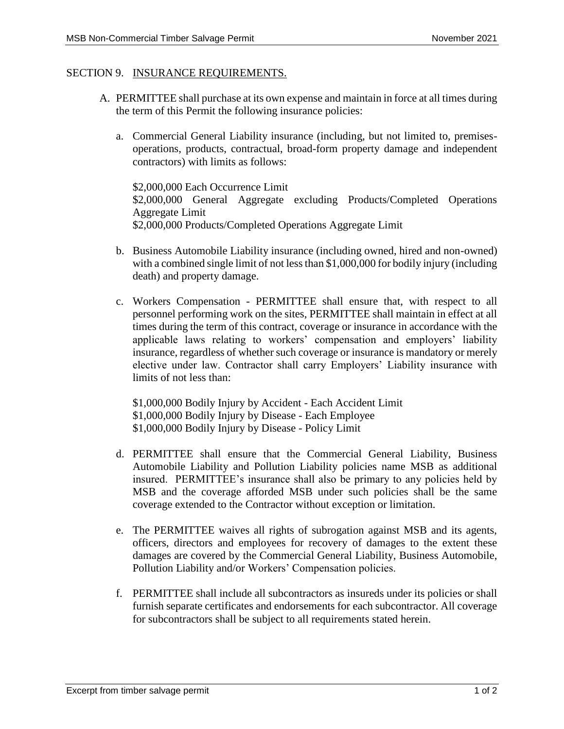## SECTION 9. INSURANCE REQUIREMENTS.

- A. PERMITTEE shall purchase at its own expense and maintain in force at all times during the term of this Permit the following insurance policies:
	- a. Commercial General Liability insurance (including, but not limited to, premisesoperations, products, contractual, broad-form property damage and independent contractors) with limits as follows:

\$2,000,000 Each Occurrence Limit \$2,000,000 General Aggregate excluding Products/Completed Operations Aggregate Limit \$2,000,000 Products/Completed Operations Aggregate Limit

- b. Business Automobile Liability insurance (including owned, hired and non-owned) with a combined single limit of not less than \$1,000,000 for bodily injury (including death) and property damage.
- c. Workers Compensation PERMITTEE shall ensure that, with respect to all personnel performing work on the sites, PERMITTEE shall maintain in effect at all times during the term of this contract, coverage or insurance in accordance with the applicable laws relating to workers' compensation and employers' liability insurance, regardless of whether such coverage or insurance is mandatory or merely elective under law. Contractor shall carry Employers' Liability insurance with limits of not less than:

\$1,000,000 Bodily Injury by Accident - Each Accident Limit \$1,000,000 Bodily Injury by Disease - Each Employee \$1,000,000 Bodily Injury by Disease - Policy Limit

- d. PERMITTEE shall ensure that the Commercial General Liability, Business Automobile Liability and Pollution Liability policies name MSB as additional insured. PERMITTEE's insurance shall also be primary to any policies held by MSB and the coverage afforded MSB under such policies shall be the same coverage extended to the Contractor without exception or limitation.
- e. The PERMITTEE waives all rights of subrogation against MSB and its agents, officers, directors and employees for recovery of damages to the extent these damages are covered by the Commercial General Liability, Business Automobile, Pollution Liability and/or Workers' Compensation policies.
- f. PERMITTEE shall include all subcontractors as insureds under its policies or shall furnish separate certificates and endorsements for each subcontractor. All coverage for subcontractors shall be subject to all requirements stated herein.